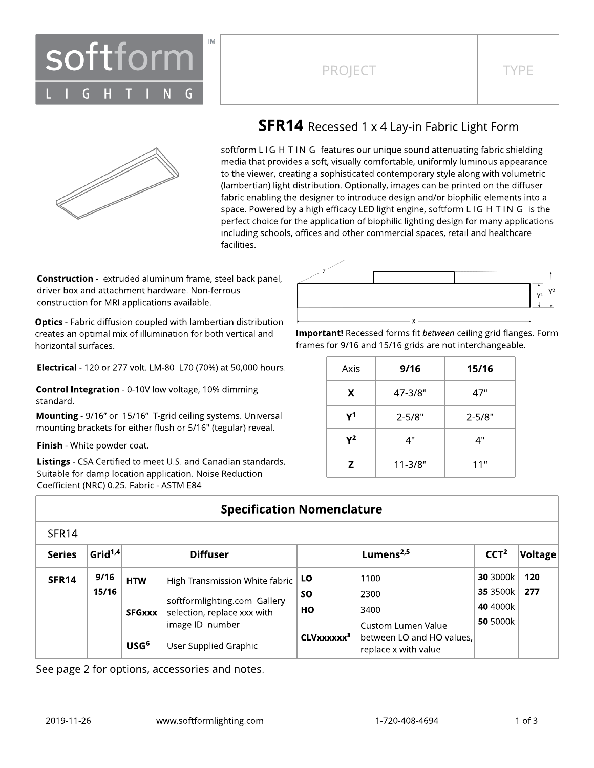



## **SFR14** Recessed 1 x 4 Lay-in Fabric Light Form

softform LIG H TIN G features our unique sound attenuating fabric shielding media that provides a soft, visually comfortable, uniformly luminous appearance to the viewer, creating a sophisticated contemporary style along with volumetric (lambertian) light distribution. Optionally, images can be printed on the diffuser fabric enabling the designer to introduce design and/or biophilic elements into a space. Powered by a high efficacy LED light engine, softform L IG H T IN G is the perfect choice for the application of biophilic lighting design for many applications including schools, offices and other commercial spaces, retail and healthcare facilities.

**Construction** - extruded aluminum frame, steel back panel, driver box and attachment hardware. Non-ferrous construction for MRI applications available.

**Optics** - Fabric diffusion coupled with lambertian distribution creates an optimal mix of illumination for both vertical and horizontal surfaces.

Electrical - 120 or 277 volt. LM-80 L70 (70%) at 50,000 hours.

Control Integration - 0-10V low voltage, 10% dimming standard.

Mounting - 9/16" or 15/16" T-grid ceiling systems. Universal mounting brackets for either flush or 5/16" (tegular) reveal.

Finish - White powder coat.

Listings - CSA Certified to meet U.S. and Canadian standards. Suitable for damp location application. Noise Reduction Coefficient (NRC) 0.25. Fabric - ASTM E84



Important! Recessed forms fit between ceiling grid flanges. Form frames for 9/16 and 15/16 grids are not interchangeable.

| Axis | 9/16        | 15/16      |
|------|-------------|------------|
| X    | 47-3/8"     | 47"        |
| Υ1   | $2 - 5/8"$  | $2 - 5/8"$ |
| γ2   | 4"          | 4"         |
| Z    | $11 - 3/8"$ | 11"        |

## **Specification Nomenclature**

| <b>Series</b>     | Grid <sup>1,4</sup> |                  | <b>Diffuser</b>                |                        | Lumens <sup>2,5</sup>                             | CCT <sup>2</sup> | $ $ Voltage $ $ |
|-------------------|---------------------|------------------|--------------------------------|------------------------|---------------------------------------------------|------------------|-----------------|
| SFR <sub>14</sub> | 9/16                | <b>HTW</b>       | High Transmission White fabric | <b>LO</b>              | 1100                                              | 30 3000k         | 120             |
|                   | 15/16               |                  | softformlighting.com Gallery   | SΟ                     | 2300                                              | 35 3500k         | 277             |
|                   |                     | SFGxxx           | selection, replace xxx with    | HО                     | 3400                                              | 40 4000k         |                 |
|                   |                     |                  | image ID number                |                        | Custom Lumen Value                                | 50 5000k         |                 |
|                   |                     | USG <sup>6</sup> | User Supplied Graphic          | CLVxxxxxx <sup>8</sup> | between LO and HO values,<br>replace x with value |                  |                 |

See page 2 for options, accessories and notes.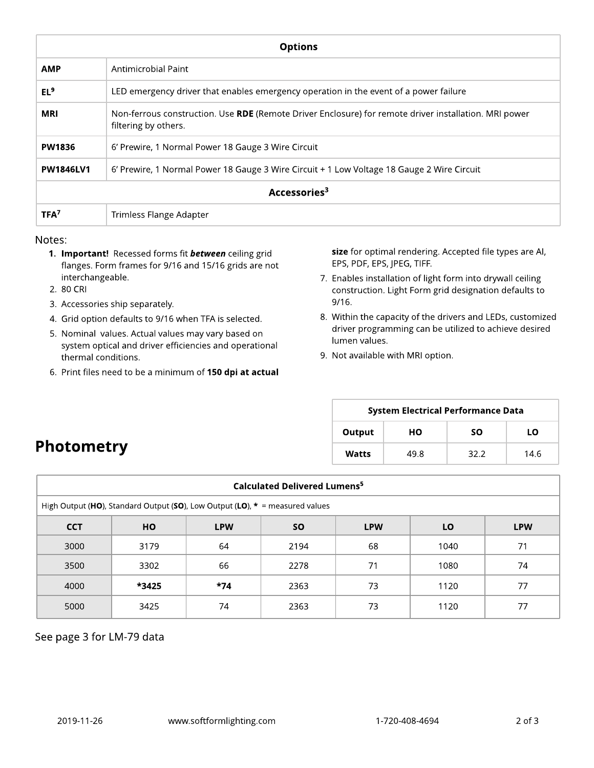| <b>Options</b>           |                                                                                                                               |  |  |  |  |  |  |
|--------------------------|-------------------------------------------------------------------------------------------------------------------------------|--|--|--|--|--|--|
| <b>AMP</b>               | Antimicrobial Paint                                                                                                           |  |  |  |  |  |  |
| EL <sup>9</sup>          | LED emergency driver that enables emergency operation in the event of a power failure                                         |  |  |  |  |  |  |
| <b>MRI</b>               | Non-ferrous construction. Use RDE (Remote Driver Enclosure) for remote driver installation. MRI power<br>filtering by others. |  |  |  |  |  |  |
| <b>PW1836</b>            | 6' Prewire, 1 Normal Power 18 Gauge 3 Wire Circuit                                                                            |  |  |  |  |  |  |
| <b>PW1846LV1</b>         | 6' Prewire, 1 Normal Power 18 Gauge 3 Wire Circuit + 1 Low Voltage 18 Gauge 2 Wire Circuit                                    |  |  |  |  |  |  |
| Accessories <sup>3</sup> |                                                                                                                               |  |  |  |  |  |  |
| TFA <sup>7</sup>         | Trimless Flange Adapter                                                                                                       |  |  |  |  |  |  |

#### Notes:

- 1. Important! Recessed forms fit **between** ceiling grid flanges. Form frames for 9/16 and 15/16 grids are not interchangeable.
- 2. 80 CRI
- 3. Accessories ship separately.
- 4. Grid option defaults to 9/16 when TFA is selected.
- 5. Nominal values. Actual values may vary based on system optical and driver efficiencies and operational thermal conditions.
- 6. Print files need to be a minimum of 150 dpi at actual

size for optimal rendering. Accepted file types are AI, EPS, PDF, EPS, JPEG, TIFF.

- 7. Enables installation of light form into drywall ceiling construction. Light Form grid designation defaults to 9/16.
- 8. Within the capacity of the drivers and LEDs, customized driver programming can be utilized to achieve desired lumen values.
- 9. Not available with MRI option.

| <b>System Electrical Performance Data</b> |      |           |      |  |  |  |  |  |  |
|-------------------------------------------|------|-----------|------|--|--|--|--|--|--|
| Output                                    | но   | <b>SO</b> | LΟ   |  |  |  |  |  |  |
| Watts                                     | 49.8 | 32.2      | 14.6 |  |  |  |  |  |  |

# **Photometry**

| Calculated Delivered Lumens <sup>5</sup>                                       |                                                                        |       |      |    |      |    |  |  |  |  |  |
|--------------------------------------------------------------------------------|------------------------------------------------------------------------|-------|------|----|------|----|--|--|--|--|--|
| High Output (HO), Standard Output (SO), Low Output (LO), $* =$ measured values |                                                                        |       |      |    |      |    |  |  |  |  |  |
| <b>CCT</b>                                                                     | LO<br><b>SO</b><br><b>LPW</b><br><b>LPW</b><br><b>HO</b><br><b>LPW</b> |       |      |    |      |    |  |  |  |  |  |
| 3000                                                                           | 3179                                                                   | 64    | 2194 | 68 | 1040 | 71 |  |  |  |  |  |
| 3500                                                                           | 3302                                                                   | 66    | 2278 | 71 | 1080 | 74 |  |  |  |  |  |
| 4000                                                                           | *3425                                                                  | $*74$ | 2363 | 73 | 1120 | 77 |  |  |  |  |  |
| 5000                                                                           | 3425                                                                   | 74    | 2363 | 73 | 1120 | 77 |  |  |  |  |  |

See page 3 for LM-79 data